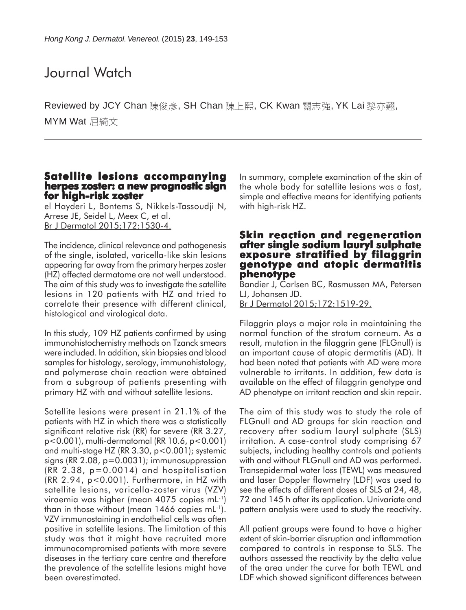## Journal Watch

Reviewed by JCY Chan 陳俊彥, SH Chan 陳上熙, CK Kwan 關志強, YK Lai 黎亦翹, MYM Wat 屈綺文

## **Satellite lesions accompanying herpes zoster: a new prognostic sign for high-risk zoster**

el Hayderi L, Bontems S, Nikkels-Tassoudji N, Arrese JE, Seidel L, Meex C, et al. Br J Dermatol 2015;172:1530-4.

The incidence, clinical relevance and pathogenesis of the single, isolated, varicella-like skin lesions appearing far away from the primary herpes zoster (HZ) affected dermatome are not well understood. The aim of this study was to investigate the satellite lesions in 120 patients with HZ and tried to correlate their presence with different clinical, histological and virological data.

In this study, 109 HZ patients confirmed by using immunohistochemistry methods on Tzanck smears were included. In addition, skin biopsies and blood samples for histology, serology, immunohistology, and polymerase chain reaction were obtained from a subgroup of patients presenting with primary HZ with and without satellite lesions.

Satellite lesions were present in 21.1% of the patients with HZ in which there was a statistically significant relative risk (RR) for severe (RR 3.27, p<0.001), multi-dermatomal (RR 10.6, p<0.001) and multi-stage HZ (RR 3.30, p<0.001); systemic signs (RR 2.08, p=0.0031); immunosuppression (RR 2.38, p=0.0014) and hospitalisation (RR 2.94, p<0.001). Furthermore, in HZ with satellite lesions, varicella-zoster virus (VZV) viraemia was higher (mean 4075 copies mL-1) than in those without (mean 1466 copies mL-1). VZV immunostaining in endothelial cells was often positive in satellite lesions. The limitation of this study was that it might have recruited more immunocompromised patients with more severe diseases in the tertiary care centre and therefore the prevalence of the satellite lesions might have been overestimated.

In summary, complete examination of the skin of the whole body for satellite lesions was a fast, simple and effective means for identifying patients with high-risk HZ.

## **Skin reaction and regeneration after single sodium lauryl sulphate exposure stratified by filaggrin genotype and atopic dermatitis phenotype**

Bandier J, Carlsen BC, Rasmussen MA, Petersen LJ, Johansen JD. Br J Dermatol 2015;172:1519-29.

Filaggrin plays a major role in maintaining the normal function of the stratum corneum. As a result, mutation in the filaggrin gene (FLGnull) is an important cause of atopic dermatitis (AD). It had been noted that patients with AD were more vulnerable to irritants. In addition, few data is available on the effect of filaggrin genotype and AD phenotype on irritant reaction and skin repair.

The aim of this study was to study the role of FLGnull and AD groups for skin reaction and recovery after sodium lauryl sulphate (SLS) irritation. A case-control study comprising 67 subjects, including healthy controls and patients with and without FLGnull and AD was performed. Transepidermal water loss (TEWL) was measured and laser Doppler flowmetry (LDF) was used to see the effects of different doses of SLS at 24, 48, 72 and 145 h after its application. Univariate and pattern analysis were used to study the reactivity.

All patient groups were found to have a higher extent of skin-barrier disruption and inflammation compared to controls in response to SLS. The authors assessed the reactivity by the delta value of the area under the curve for both TEWL and LDF which showed significant differences between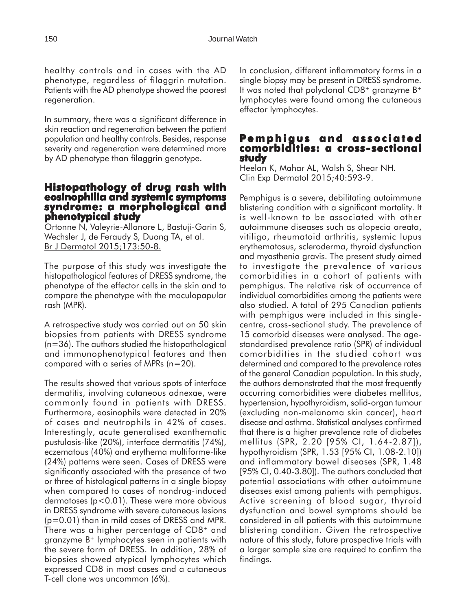healthy controls and in cases with the AD phenotype, regardless of filaggrin mutation. Patients with the AD phenotype showed the poorest regeneration.

In summary, there was a significant difference in skin reaction and regeneration between the patient population and healthy controls. Besides, response severity and regeneration were determined more by AD phenotype than filaggrin genotype.

#### **Histopathology of drug rash with eosinophilia and systemic symptoms syndrome: a morphological and phenotypical study**

Ortonne N, Valeyrie-Allanore L, Bastuji-Garin S, Wechsler J, de Feraudy S, Duong TA, et al. Br J Dermatol 2015;173:50-8.

The purpose of this study was investigate the histopathological features of DRESS syndrome, the phenotype of the effector cells in the skin and to compare the phenotype with the maculopapular rash (MPR).

A retrospective study was carried out on 50 skin biopsies from patients with DRESS syndrome (n=36). The authors studied the histopathological and immunophenotypical features and then compared with a series of MPRs (n=20).

The results showed that various spots of interface dermatitis, involving cutaneous adnexae, were commonly found in patients with DRESS. Furthermore, eosinophils were detected in 20% of cases and neutrophils in 42% of cases. Interestingly, acute generalised exanthematic pustulosis-like (20%), interface dermatitis (74%), eczematous (40%) and erythema multiforme-like (24%) patterns were seen. Cases of DRESS were significantly associated with the presence of two or three of histological patterns in a single biopsy when compared to cases of nondrug-induced dermatoses (p<0.01). These were more obvious in DRESS syndrome with severe cutaneous lesions (p=0.01) than in mild cases of DRESS and MPR. There was a higher percentage of CD8<sup>+</sup> and granzyme B+ lymphocytes seen in patients with the severe form of DRESS. In addition, 28% of biopsies showed atypical lymphocytes which expressed CD8 in most cases and a cutaneous T-cell clone was uncommon (6%).

In conclusion, different inflammatory forms in a single biopsy may be present in DRESS syndrome. It was noted that polyclonal  $CDS<sup>+</sup>$  granzyme  $B<sup>+</sup>$ lymphocytes were found among the cutaneous effector lymphocytes.

## **Pemphigus and associated comorbidities: a cross-sectional sectional study**

Heelan K, Mahar AL, Walsh S, Shear NH. Clin Exp Dermatol 2015;40:593-9.

Pemphigus is a severe, debilitating autoimmune blistering condition with a significant mortality. It is well-known to be associated with other autoimmune diseases such as alopecia areata, vitiligo, rheumatoid arthritis, systemic lupus erythematosus, scleroderma, thyroid dysfunction and myasthenia gravis. The present study aimed to investigate the prevalence of various comorbidities in a cohort of patients with pemphigus. The relative risk of occurrence of individual comorbidities among the patients were also studied. A total of 295 Canadian patients with pemphigus were included in this singlecentre, cross-sectional study. The prevalence of 15 comorbid diseases were analysed. The agestandardised prevalence ratio (SPR) of individual comorbidities in the studied cohort was determined and compared to the prevalence rates of the general Canadian population. In this study, the authors demonstrated that the most frequently occurring comorbidities were diabetes mellitus, hypertension, hypothyroidism, solid-organ tumour (excluding non-melanoma skin cancer), heart disease and asthma. Statistical analyses confirmed that there is a higher prevalence rate of diabetes mellitus (SPR, 2.20 [95% CI, 1.64-2.87]), hypothyroidism (SPR, 1.53 [95% CI, 1.08-2.10]) and inflammatory bowel diseases (SPR, 1.48 [95% CI, 0.40-3.80]). The authors concluded that potential associations with other autoimmune diseases exist among patients with pemphigus. Active screening of blood sugar, thyroid dysfunction and bowel symptoms should be considered in all patients with this autoimmune blistering condition. Given the retrospective nature of this study, future prospective trials with a larger sample size are required to confirm the findings.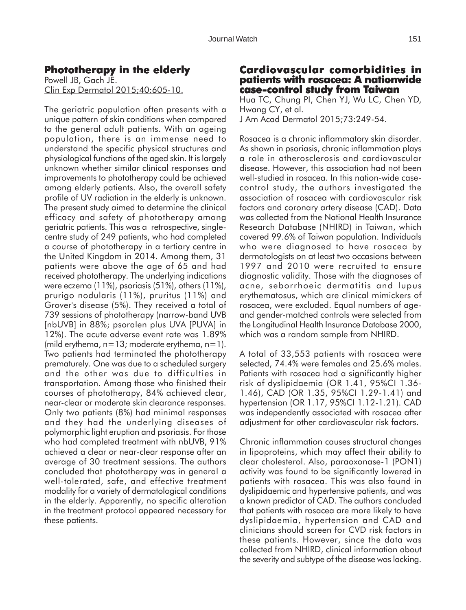## **Phototherapy in the elderly**

Powell JB, Gach JE. Clin Exp Dermatol 2015;40:605-10.

The geriatric population often presents with a unique pattern of skin conditions when compared to the general adult patients. With an ageing population, there is an immense need to understand the specific physical structures and physiological functions of the aged skin. It is largely unknown whether similar clinical responses and improvements to phototherapy could be achieved among elderly patients. Also, the overall safety profile of UV radiation in the elderly is unknown. The present study aimed to determine the clinical efficacy and safety of phototherapy among geriatric patients. This was a retrospective, singlecentre study of 249 patients, who had completed a course of phototherapy in a tertiary centre in the United Kingdom in 2014. Among them, 31 patients were above the age of 65 and had received phototherapy. The underlying indications were eczema (11%), psoriasis (51%), others (11%), prurigo nodularis (11%), pruritus (11%) and Grover's disease (5%). They received a total of 739 sessions of phototherapy (narrow-band UVB [nbUVB] in 88%; psoralen plus UVA [PUVA] in 12%). The acute adverse event rate was 1.89% (mild erythema,  $n=13$ ; moderate erythema,  $n=1$ ). Two patients had terminated the phototherapy prematurely. One was due to a scheduled surgery and the other was due to difficulties in transportation. Among those who finished their courses of phototherapy, 84% achieved clear, near-clear or moderate skin clearance responses. Only two patients (8%) had minimal responses and they had the underlying diseases of polymorphic light eruption and psoriasis. For those who had completed treatment with nbUVB, 91% achieved a clear or near-clear response after an average of 30 treatment sessions. The authors concluded that phototherapy was in general a well-tolerated, safe, and effective treatment modality for a variety of dermatological conditions in the elderly. Apparently, no specific alteration in the treatment protocol appeared necessary for these patients.

## **Cardiovascular comorbidities in patients with rosacea: A nationwide case-control study from Taiwan**

Hua TC, Chung PI, Chen YJ, Wu LC, Chen YD, Hwang CY, et al. J Am Acad Dermatol 2015;73:249-54.

Rosacea is a chronic inflammatory skin disorder. As shown in psoriasis, chronic inflammation plays a role in atherosclerosis and cardiovascular disease. However, this association had not been well-studied in rosacea. In this nation-wide casecontrol study, the authors investigated the association of rosacea with cardiovascular risk factors and coronary artery disease (CAD). Data was collected from the National Health Insurance Research Database (NHIRD) in Taiwan, which covered 99.6% of Taiwan population. Individuals who were diagnosed to have rosacea by dermatologists on at least two occasions between 1997 and 2010 were recruited to ensure diagnostic validity. Those with the diagnoses of acne, seborrhoeic dermatitis and lupus erythematosus, which are clinical mimickers of rosacea, were excluded. Equal numbers of ageand gender-matched controls were selected from the Longitudinal Health Insurance Database 2000, which was a random sample from NHIRD.

A total of 33,553 patients with rosacea were selected, 74.4% were females and 25.6% males. Patients with rosacea had a significantly higher risk of dyslipidaemia (OR 1.41, 95%CI 1.36- 1.46), CAD (OR 1.35, 95%CI 1.29-1.41) and hypertension (OR 1.17, 95%CI 1.12-1.21). CAD was independently associated with rosacea after adjustment for other cardiovascular risk factors.

Chronic inflammation causes structural changes in lipoproteins, which may affect their ability to clear cholesterol. Also, paraoxonase-1 (PON1) activity was found to be significantly lowered in patients with rosacea. This was also found in dyslipidaemic and hypertensive patients, and was a known predictor of CAD. The authors concluded that patients with rosacea are more likely to have dyslipidaemia, hypertension and CAD and clinicians should screen for CVD risk factors in these patients. However, since the data was collected from NHIRD, clinical information about the severity and subtype of the disease was lacking.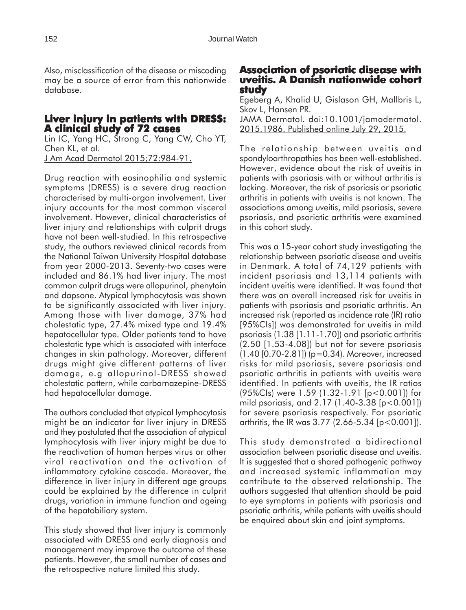Also, misclassification of the disease or miscoding may be a source of error from this nationwide database.

## **Liver injury in patients with DRESS: A clinical study of 72 cases**

Lin IC, Yang HC, Strong C, Yang CW, Cho YT, Chen KL, et al. J Am Acad Dermatol 2015;72:984-91.

Drug reaction with eosinophilia and systemic symptoms (DRESS) is a severe drug reaction characterised by multi-organ involvement. Liver injury accounts for the most common visceral involvement. However, clinical characteristics of liver injury and relationships with culprit drugs have not been well-studied. In this retrospective study, the authors reviewed clinical records from the National Taiwan University Hospital database from year 2000-2013. Seventy-two cases were included and 86.1% had liver injury. The most common culprit drugs were allopurinol, phenytoin and dapsone. Atypical lymphocytosis was shown to be significantly associated with liver injury. Among those with liver damage, 37% had cholestatic type, 27.4% mixed type and 19.4% hepatocellular type. Older patients tend to have

cholestatic type which is associated with interface changes in skin pathology. Moreover, different drugs might give different patterns of liver damage, e.g allopurinol-DRESS showed cholestatic pattern, while carbamazepine-DRESS had hepatocellular damage.

The authors concluded that atypical lymphocytosis might be an indicator for liver injury in DRESS and they postulated that the association of atypical lymphocytosis with liver injury might be due to the reactivation of human herpes virus or other viral reactivation and the activation of inflammatory cytokine cascade. Moreover, the difference in liver injury in different age groups could be explained by the difference in culprit drugs, variation in immune function and ageing of the hepatobiliary system.

This study showed that liver injury is commonly associated with DRESS and early diagnosis and management may improve the outcome of these patients. However, the small number of cases and the retrospective nature limited this study.

## **Association of psoriatic disease with uveitis. A Danish nationwide cohort nationwide cohort study**

Egeberg A, Khalid U, Gislason GH, Mallbris L, Skov L, Hansen PR.

JAMA Dermatol. doi:10.1001/jamadermatol. 2015.1986. Published online July 29, 2015.

The relationship between uveitis and spondyloarthropathies has been well-established. However, evidence about the risk of uveitis in patients with psoriasis with or without arthritis is lacking. Moreover, the risk of psoriasis or psoriatic arthritis in patients with uveitis is not known. The associations among uveitis, mild psoriasis, severe psoriasis, and psoriatic arthritis were examined in this cohort study.

This was a 15-year cohort study investigating the relationship between psoriatic disease and uveitis in Denmark. A total of 74,129 patients with incident psoriasis and 13,114 patients with incident uveitis were identified. It was found that there was an overall increased risk for uveitis in patients with psoriasis and psoriatic arthritis. An increased risk (reported as incidence rate (IR) ratio [95%CIs]) was demonstrated for uveitis in mild psoriasis (1.38 [1.11-1.70]) and psoriatic arthritis (2.50 [1.53-4.08]) but not for severe psoriasis (1.40 [0.70-2.81]) (p=0.34). Moreover, increased risks for mild psoriasis, severe psoriasis and psoriatic arthritis in patients with uveitis were identified. In patients with uveitis, the IR ratios (95%CIs) were 1.59 (1.32-1.91 [p<0.001]) for mild psoriasis, and 2.17 (1.40-3.38 [p<0.001]) for severe psoriasis respectively. For psoriatic arthritis, the IR was  $3.77$  (2.66-5.34 [p<0.001]).

This study demonstrated a bidirectional association between psoriatic disease and uveitis. It is suggested that a shared pathogenic pathway and increased systemic inflammation may contribute to the observed relationship. The authors suggested that attention should be paid to eye symptoms in patients with psoriasis and psoriatic arthritis, while patients with uveitis should be enquired about skin and joint symptoms.